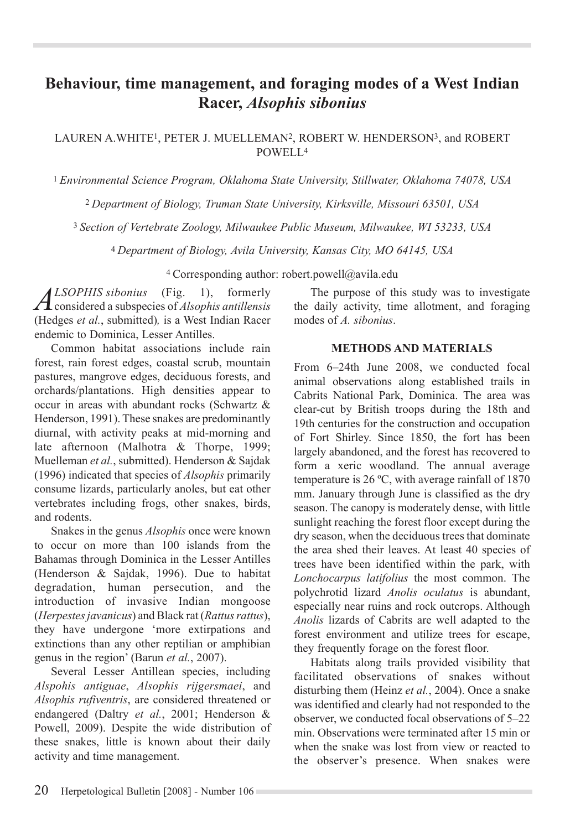# **Behaviour, time management, and foraging modes of a West Indian Racer,** *Alsophis sibonius*

LAUREN A.WHITE1, PETER J. MUELLEMAN2, ROBERT W. HENDERSON3, and ROBERT POWELL4

<sup>1</sup>*Environmental Science Program, Oklahoma State University, Stillwater, Oklahoma 74078, USA*

<sup>2</sup>*Department of Biology, Truman State University, Kirksville, Missouri 63501, USA*

3 *Section of Vertebrate Zoology, Milwaukee Public Museum, Milwaukee, WI 53233, USA*

<sup>4</sup>*Department of Biology, Avila University, Kansas City, MO 64145, USA*

4 Corresponding author: robert.powell@avila.edu

*ALSOPHIS sibonius* (Fig. 1), formerly considered a subspecies of *Alsophis antillensis* (Hedges *et al.*, submitted)*,* is a West Indian Racer endemic to Dominica, Lesser Antilles.

Common habitat associations include rain forest, rain forest edges, coastal scrub, mountain pastures, mangrove edges, deciduous forests, and orchards/plantations. High densities appear to occur in areas with abundant rocks (Schwartz & Henderson, 1991). These snakes are predominantly diurnal, with activity peaks at mid-morning and late afternoon (Malhotra & Thorpe, 1999; Muelleman *et al.*, submitted). Henderson & Sajdak (1996) indicated that species of *Alsophis* primarily consume lizards, particularly anoles, but eat other vertebrates including frogs, other snakes, birds, and rodents.

Snakes in the genus *Alsophis* once were known to occur on more than 100 islands from the Bahamas through Dominica in the Lesser Antilles (Henderson & Sajdak, 1996). Due to habitat degradation, human persecution, and the introduction of invasive Indian mongoose (*Herpestes javanicus*) and Black rat (*Rattus rattus*), they have undergone 'more extirpations and extinctions than any other reptilian or amphibian genus in the region' (Barun *et al.*, 2007).

Several Lesser Antillean species, including *Alspohis antiguae*, *Alsophis rijgersmaei*, and *Alsophis rufiventris*, are considered threatened or endangered (Daltry *et al.*, 2001; Henderson & Powell, 2009). Despite the wide distribution of these snakes, little is known about their daily activity and time management.

The purpose of this study was to investigate the daily activity, time allotment, and foraging modes of *A. sibonius*.

### **Methods and Materials**

From 6–24th June 2008, we conducted focal animal observations along established trails in Cabrits National Park, Dominica. The area was clear-cut by British troops during the 18th and 19th centuries for the construction and occupation of Fort Shirley. Since 1850, the fort has been largely abandoned, and the forest has recovered to form a xeric woodland. The annual average temperature is 26 ºC, with average rainfall of 1870 mm. January through June is classified as the dry season. The canopy is moderately dense, with little sunlight reaching the forest floor except during the dry season, when the deciduous trees that dominate the area shed their leaves. At least 40 species of trees have been identified within the park, with *Lonchocarpus latifolius* the most common. The polychrotid lizard *Anolis oculatus* is abundant, especially near ruins and rock outcrops. Although *Anolis* lizards of Cabrits are well adapted to the forest environment and utilize trees for escape, they frequently forage on the forest floor.

Habitats along trails provided visibility that facilitated observations of snakes without disturbing them (Heinz *et al.*, 2004). Once a snake was identified and clearly had not responded to the observer, we conducted focal observations of 5–22 min. Observations were terminated after 15 min or when the snake was lost from view or reacted to the observer's presence. When snakes were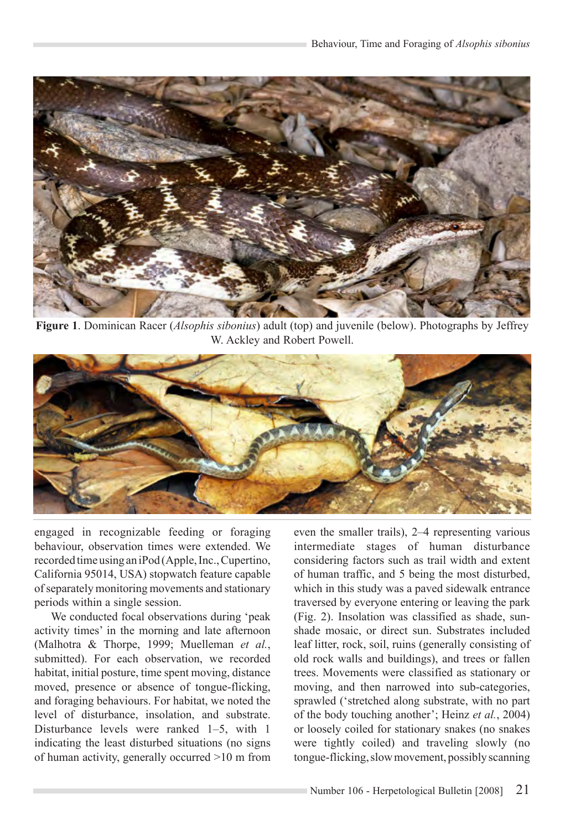

**Figure 1**. Dominican Racer (*Alsophis sibonius*) adult (top) and juvenile (below). Photographs by Jeffrey W. Ackley and Robert Powell.



engaged in recognizable feeding or foraging behaviour, observation times were extended. We recorded time using an iPod (Apple, Inc., Cupertino, California 95014, USA) stopwatch feature capable of separately monitoring movements and stationary periods within a single session.

We conducted focal observations during 'peak activity times' in the morning and late afternoon (Malhotra & Thorpe, 1999; Muelleman *et al.*, submitted). For each observation, we recorded habitat, initial posture, time spent moving, distance moved, presence or absence of tongue-flicking, and foraging behaviours. For habitat, we noted the level of disturbance, insolation, and substrate. Disturbance levels were ranked 1–5, with 1 indicating the least disturbed situations (no signs of human activity, generally occurred >10 m from

even the smaller trails), 2–4 representing various intermediate stages of human disturbance considering factors such as trail width and extent of human traffic, and 5 being the most disturbed, which in this study was a paved sidewalk entrance traversed by everyone entering or leaving the park (Fig. 2). Insolation was classified as shade, sunshade mosaic, or direct sun. Substrates included leaf litter, rock, soil, ruins (generally consisting of old rock walls and buildings), and trees or fallen trees. Movements were classified as stationary or moving, and then narrowed into sub-categories, sprawled ('stretched along substrate, with no part of the body touching another'; Heinz *et al.*, 2004) or loosely coiled for stationary snakes (no snakes were tightly coiled) and traveling slowly (no tongue-flicking, slow movement, possibly scanning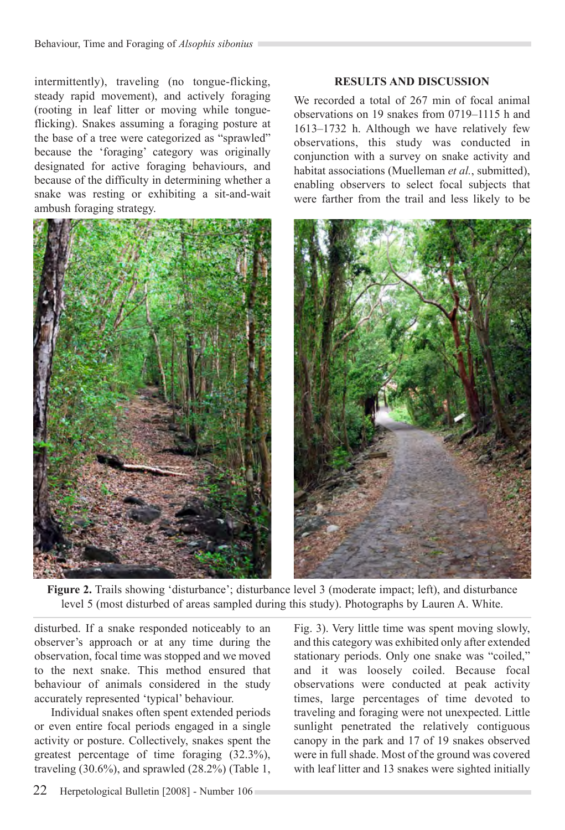intermittently), traveling (no tongue-flicking, steady rapid movement), and actively foraging (rooting in leaf litter or moving while tongueflicking). Snakes assuming a foraging posture at the base of a tree were categorized as "sprawled" because the 'foraging' category was originally designated for active foraging behaviours, and because of the difficulty in determining whether a snake was resting or exhibiting a sit-and-wait ambush foraging strategy.



### **Results and Discussion**

We recorded a total of 267 min of focal animal observations on 19 snakes from 0719–1115 h and 1613–1732 h. Although we have relatively few observations, this study was conducted in conjunction with a survey on snake activity and habitat associations (Muelleman *et al.*, submitted), enabling observers to select focal subjects that were farther from the trail and less likely to be



**Figure 2.** Trails showing 'disturbance'; disturbance level 3 (moderate impact; left), and disturbance level 5 (most disturbed of areas sampled during this study). Photographs by Lauren A. White.

disturbed. If a snake responded noticeably to an observer's approach or at any time during the observation, focal time was stopped and we moved to the next snake. This method ensured that behaviour of animals considered in the study accurately represented 'typical' behaviour.

Individual snakes often spent extended periods or even entire focal periods engaged in a single activity or posture. Collectively, snakes spent the greatest percentage of time foraging (32.3%), traveling (30.6%), and sprawled (28.2%) (Table 1,

Fig. 3). Very little time was spent moving slowly, and this category was exhibited only after extended stationary periods. Only one snake was "coiled," and it was loosely coiled. Because focal observations were conducted at peak activity times, large percentages of time devoted to traveling and foraging were not unexpected. Little sunlight penetrated the relatively contiguous canopy in the park and 17 of 19 snakes observed were in full shade. Most of the ground was covered with leaf litter and 13 snakes were sighted initially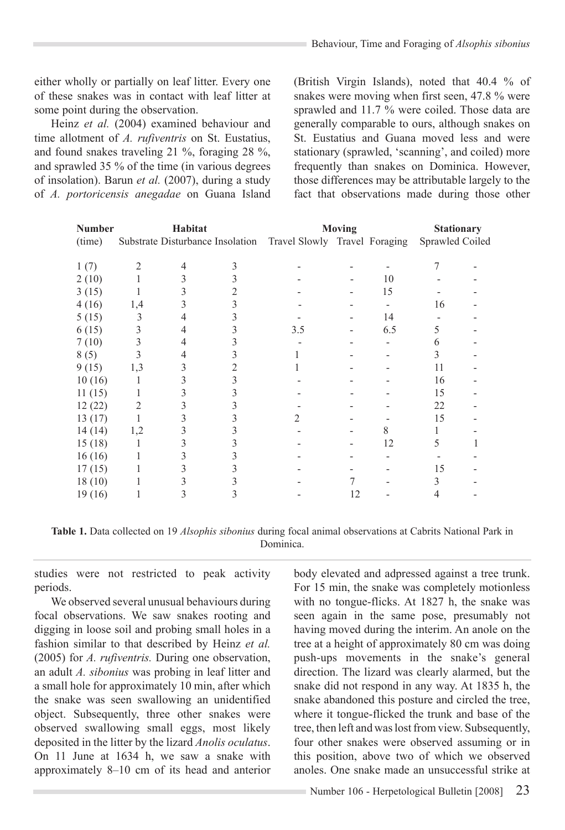either wholly or partially on leaf litter. Every one of these snakes was in contact with leaf litter at some point during the observation.

Heinz *et al.* (2004) examined behaviour and time allotment of *A. rufiventris* on St. Eustatius, and found snakes traveling 21 %, foraging 28 %, and sprawled 35 % of the time (in various degrees of insolation). Barun *et al.* (2007), during a study of *A. portoricensis anegadae* on Guana Island (British Virgin Islands), noted that 40.4 % of snakes were moving when first seen, 47.8 % were sprawled and 11.7 % were coiled. Those data are generally comparable to ours, although snakes on St. Eustatius and Guana moved less and were stationary (sprawled, 'scanning', and coiled) more frequently than snakes on Dominica. However, those differences may be attributable largely to the fact that observations made during those other

| <b>Number</b> | Habitat |  |  | Moving                                                         |    |     | <b>Stationary</b> |  |
|---------------|---------|--|--|----------------------------------------------------------------|----|-----|-------------------|--|
| (time)        |         |  |  | Substrate Disturbance Insolation Travel Slowly Travel Foraging |    |     | Sprawled Coiled   |  |
|               |         |  |  |                                                                |    |     |                   |  |
| 1(7)          |         |  |  |                                                                |    |     |                   |  |
| 2(10)         |         |  |  |                                                                |    | 10  |                   |  |
| 3(15)         |         |  |  |                                                                |    | 15  |                   |  |
| 4(16)         | 1,4     |  |  |                                                                |    |     | 16                |  |
| 5(15)         |         |  |  |                                                                |    | 14  |                   |  |
| 6(15)         |         |  |  | 3.5                                                            |    | 6.5 | 5.                |  |
| 7(10)         |         |  |  |                                                                |    |     | h                 |  |
| 8(5)          |         |  |  |                                                                |    |     |                   |  |
| 9(15)         | 1,3     |  |  |                                                                |    |     | 11                |  |
| 10(16)        |         |  |  |                                                                |    |     | 16                |  |
| 11(15)        |         |  |  |                                                                |    |     | 15                |  |
| 12(22)        |         |  |  |                                                                |    |     | 22                |  |
| 13(17)        |         |  |  |                                                                |    |     | 15                |  |
| 14(14)        | 1,2     |  |  |                                                                |    |     |                   |  |
| 15(18)        |         |  |  |                                                                |    | 12  | 5                 |  |
| 16(16)        |         |  |  |                                                                |    |     |                   |  |
| 17(15)        |         |  |  |                                                                |    |     | 15                |  |
| 18(10)        |         |  |  |                                                                |    |     |                   |  |
| 19 (16)       |         |  |  |                                                                | 12 |     | 4                 |  |

**Table 1.** Data collected on 19 *Alsophis sibonius* during focal animal observations at Cabrits National Park in Dominica.

studies were not restricted to peak activity periods.

We observed several unusual behaviours during focal observations. We saw snakes rooting and digging in loose soil and probing small holes in a fashion similar to that described by Heinz *et al.*  (2005) for *A. rufiventris.* During one observation, an adult *A. sibonius* was probing in leaf litter and a small hole for approximately 10 min, after which the snake was seen swallowing an unidentified object. Subsequently, three other snakes were observed swallowing small eggs, most likely deposited in the litter by the lizard *Anolis oculatus*. On 11 June at 1634 h, we saw a snake with approximately 8–10 cm of its head and anterior body elevated and adpressed against a tree trunk. For 15 min, the snake was completely motionless with no tongue-flicks. At 1827 h, the snake was seen again in the same pose, presumably not having moved during the interim. An anole on the tree at a height of approximately 80 cm was doing push-ups movements in the snake's general direction. The lizard was clearly alarmed, but the snake did not respond in any way. At 1835 h, the snake abandoned this posture and circled the tree, where it tongue-flicked the trunk and base of the tree, then left and was lost from view. Subsequently, four other snakes were observed assuming or in this position, above two of which we observed anoles. One snake made an unsuccessful strike at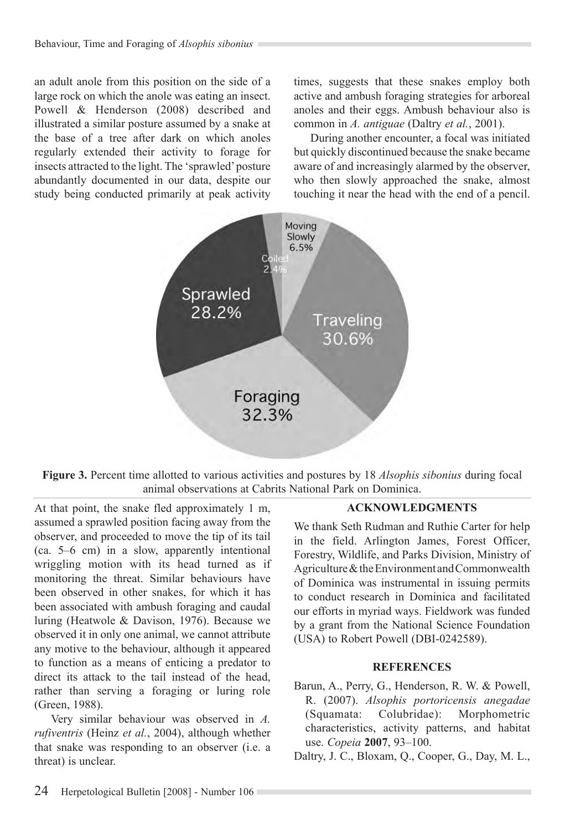an adult anole from this position on the side of a large rock on which the anole was eating an insect. Powell & Henderson (2008) described and illustrated a similar posture assumed by a snake at the base of a tree after dark on which anoles regularly extended their activity to forage for insects attracted to the light. The 'sprawled' posture abundantly documented in our data, despite our study being conducted primarily at peak activity times, suggests that these snakes employ both active and ambush foraging strategies for arboreal anoles and their eggs. Ambush behaviour also is common in *A. antiguae* (Daltry *et al.*, 2001).

During another encounter, a focal was initiated but quickly discontinued because the snake became aware of and increasingly alarmed by the observer, who then slowly approached the snake, almost touching it near the head with the end of a pencil.



**Figure 3.** Percent time allotted to various activities and postures by 18 *Alsophis sibonius* during focal animal observations at Cabrits National Park on Dominica.

At that point, the snake fled approximately 1 m, assumed a sprawled position facing away from the observer, and proceeded to move the tip of its tail (ca. 5–6 cm) in a slow, apparently intentional wriggling motion with its head turned as if monitoring the threat. Similar behaviours have been observed in other snakes, for which it has been associated with ambush foraging and caudal luring (Heatwole & Davison, 1976). Because we observed it in only one animal, we cannot attribute any motive to the behaviour, although it appeared to function as a means of enticing a predator to direct its attack to the tail instead of the head, rather than serving a foraging or luring role (Green, 1988).

Very similar behaviour was observed in *A. rufiventris* (Heinz *et al.*, 2004), although whether that snake was responding to an observer (i.e. a threat) is unclear.

## **Acknowledgments**

We thank Seth Rudman and Ruthie Carter for help in the field. Arlington James, Forest Officer, Forestry, Wildlife, and Parks Division, Ministry of Agriculture & the Environment and Commonwealth of Dominica was instrumental in issuing permits to conduct research in Dominica and facilitated our efforts in myriad ways. Fieldwork was funded by a grant from the National Science Foundation (USA) to Robert Powell (DBI-0242589).

#### **REFERENCES**

- Barun, A., Perry, G., Henderson, R. W. & Powell, R. (2007). *Alsophis portoricensis anegadae*  (Squamata: Colubridae): Morphometric characteristics, activity patterns, and habitat use. *Copeia* **2007**, 93–100.
- Daltry, J. C., Bloxam, Q., Cooper, G., Day, M. L.,